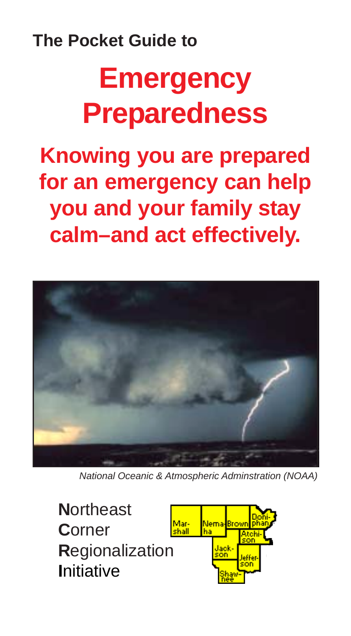# **The Pocket Guide to**

# **Emergency Preparedness**

**Knowing you are prepared for an emergency can help you and your family stay calm–and act effectively.**



*National Oceanic & Atmospheric Adminstration (NOAA)*

**N**ortheast **C**orner **R**egionalization **I**nitiative

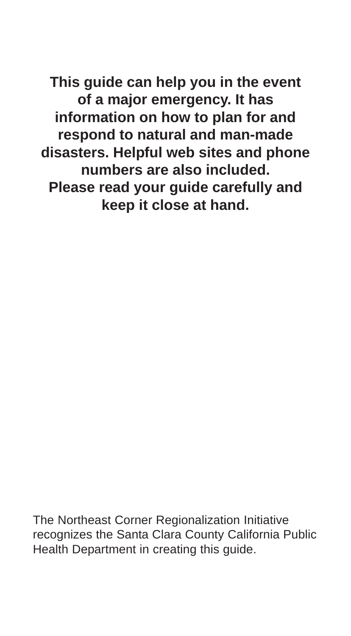**This guide can help you in the event of a major emergency. It has information on how to plan for and respond to natural and man-made disasters. Helpful web sites and phone numbers are also included. Please read your guide carefully and keep it close at hand.**

The Northeast Corner Regionalization Initiative recognizes the Santa Clara County California Public Health Department in creating this guide.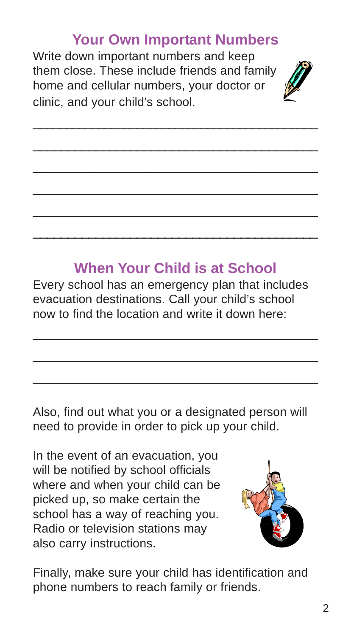## **Your Own Important Numbers**

\_\_\_\_\_\_\_\_\_\_\_\_\_\_\_\_\_\_\_\_\_\_\_\_\_\_\_\_\_\_\_\_\_\_\_\_\_\_\_\_\_\_\_\_ \_\_\_\_\_\_\_\_\_\_\_\_\_\_\_\_\_\_\_\_\_\_\_\_\_\_\_\_\_\_\_\_\_\_\_\_\_\_\_\_\_ \_\_\_\_\_\_\_\_\_\_\_\_\_\_\_\_\_\_\_\_\_\_\_\_\_\_\_\_\_\_\_\_\_\_\_\_\_\_\_\_\_ \_\_\_\_\_\_\_\_\_\_\_\_\_\_\_\_\_\_\_\_\_\_\_\_\_\_\_\_\_\_\_\_\_\_\_\_\_\_\_\_\_ \_\_\_\_\_\_\_\_\_\_\_\_\_\_\_\_\_\_\_\_\_\_\_\_\_\_\_\_\_\_\_\_\_\_\_\_\_\_\_\_\_ \_\_\_\_\_\_\_\_\_\_\_\_\_\_\_\_\_\_\_\_\_\_\_\_\_\_\_\_\_\_\_\_\_\_\_\_\_\_\_\_\_

Write down important numbers and keep them close. These include friends and family home and cellular numbers, your doctor or clinic, and your child's school.



## **When Your Child is at School**

Every school has an emergency plan that includes evacuation destinations. Call your child's school now to find the location and write it down here:

\_\_\_\_\_\_\_\_\_\_\_\_\_\_\_\_\_\_\_\_\_\_\_\_\_\_\_\_\_\_\_\_\_\_\_\_\_\_\_\_\_\_\_\_\_\_\_\_\_\_\_\_\_\_\_\_\_\_\_\_\_\_\_\_\_\_\_\_\_\_\_\_\_\_\_\_\_\_\_\_\_\_ \_\_\_\_\_\_\_\_\_\_\_\_\_\_\_\_\_\_\_\_\_\_\_\_\_\_\_\_\_\_\_\_\_\_\_\_\_\_\_\_\_\_\_\_\_\_\_\_\_\_\_\_\_\_\_\_\_\_\_\_\_\_\_\_\_\_\_\_\_\_\_\_\_\_\_\_\_\_\_\_\_\_ \_\_\_\_\_\_\_\_\_\_\_\_\_\_\_\_\_\_\_\_\_\_\_\_\_\_\_\_\_\_\_\_\_\_\_\_\_\_\_\_\_

Also, find out what you or a designated person will need to provide in order to pick up your child.

In the event of an evacuation, you will be notified by school officials where and when your child can be picked up, so make certain the school has a way of reaching you. Radio or television stations may also carry instructions.



Finally, make sure your child has identification and phone numbers to reach family or friends.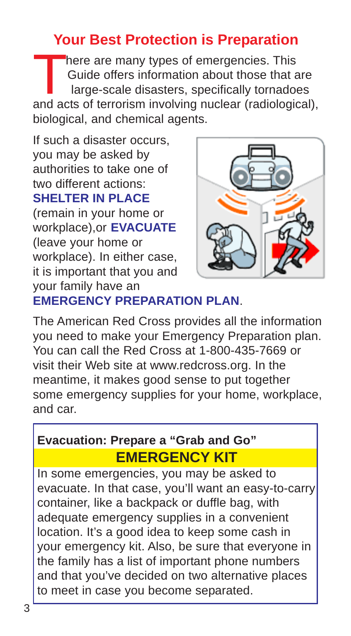## **Your Best Protection is Preparation**

here are many types of emergencies. This Guide offers information about those that are large-scale disasters, specifically tornadoes and acts of terrorism involving nuclear (radiological), biological, and chemical agents.

If such a disaster occurs, you may be asked by authorities to take one of two different actions: **SHELTER IN PLACE** (remain in your home or workplace),or **EVACUATE** (leave your home or workplace). In either case, it is important that you and your family have an



## **EMERGENCY PREPARATION PLAN**.

The American Red Cross provides all the information you need to make your Emergency Preparation plan. You can call the Red Cross at 1-800-435-7669 or visit their Web site at www.redcross.org. In the meantime, it makes good sense to put together some emergency supplies for your home, workplace, and car.

## **Evacuation: Prepare a "Grab and Go" EMERGENCY KIT**

In some emergencies, you may be asked to evacuate. In that case, you'll want an easy-to-carry container, like a backpack or duffle bag, with adequate emergency supplies in a convenient location. It's a good idea to keep some cash in your emergency kit. Also, be sure that everyone in the family has a list of important phone numbers and that you've decided on two alternative places to meet in case you become separated.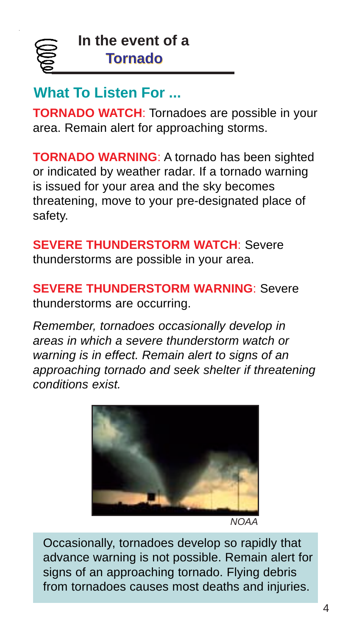

## **What To Listen For ...**

**TORNADO WATCH**: Tornadoes are possible in your area. Remain alert for approaching storms.

**TORNADO WARNING**: A tornado has been sighted or indicated by weather radar. If a tornado warning is issued for your area and the sky becomes threatening, move to your pre-designated place of safety.

**SEVERE THUNDERSTORM WATCH**: Severe thunderstorms are possible in your area.

**SEVERE THUNDERSTORM WARNING**: Severe thunderstorms are occurring.

*Remember, tornadoes occasionally develop in areas in which a severe thunderstorm watch or warning is in effect. Remain alert to signs of an approaching tornado and seek shelter if threatening conditions exist.*



*NOAA*

Occasionally, tornadoes develop so rapidly that advance warning is not possible. Remain alert for signs of an approaching tornado. Flying debris from tornadoes causes most deaths and injuries.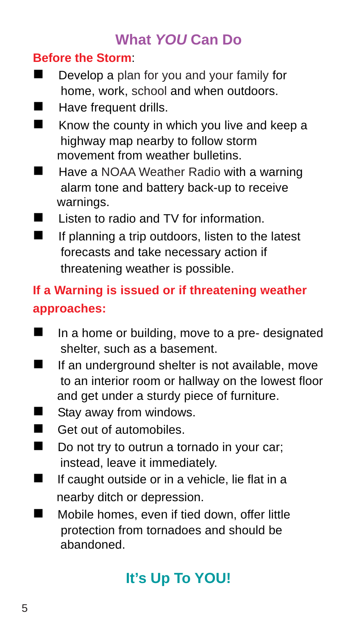## **What** *YOU* **Can Do**

## **Before the Storm**:

- **Develop a plan for you and your family for** home, work, school and when outdoors.
- **E** Have frequent drills.
- $\blacksquare$  Know the county in which you live and keep a highway map nearby to follow storm movement from weather bulletins.
- **I** Have a NOAA Weather Radio with a warning alarm tone and battery back-up to receive warnings.
- Listen to radio and TV for information
- **If planning a trip outdoors, listen to the latest**  forecasts and take necessary action if threatening weather is possible.

## **If a Warning is issued or if threatening weather approaches:**

- In a home or building, move to a pre- designated shelter, such as a basement.
- $\blacksquare$  If an underground shelter is not available, move to an interior room or hallway on the lowest floor and get under a sturdy piece of furniture.
- **E** Stay away from windows.
- Get out of automobiles.
- Do not try to outrun a tornado in your car; instead, leave it immediately.
- $\blacksquare$  If caught outside or in a vehicle, lie flat in a nearby ditch or depression.
- **I** Mobile homes, even if tied down, offer little protection from tornadoes and should be abandoned.

# **It's Up To YOU!**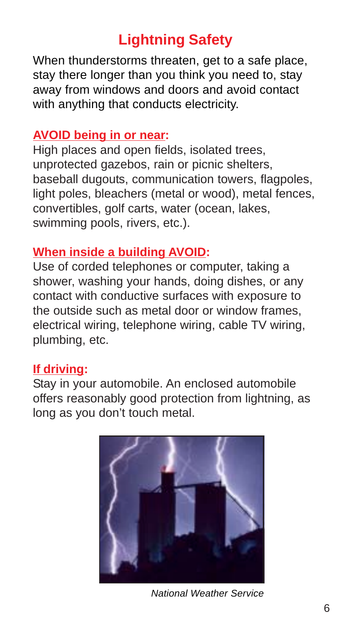# **Lightning Safety**

When thunderstorms threaten, get to a safe place, stay there longer than you think you need to, stay away from windows and doors and avoid contact with anything that conducts electricity.

### **AVOID being in or near:**

High places and open fields, isolated trees, unprotected gazebos, rain or picnic shelters, baseball dugouts, communication towers, flagpoles, light poles, bleachers (metal or wood), metal fences, convertibles, golf carts, water (ocean, lakes, swimming pools, rivers, etc.).

## **When inside a building AVOID:**

Use of corded telephones or computer, taking a shower, washing your hands, doing dishes, or any contact with conductive surfaces with exposure to the outside such as metal door or window frames, electrical wiring, telephone wiring, cable TV wiring, plumbing, etc.

## **If driving:**

Stay in your automobile. An enclosed automobile offers reasonably good protection from lightning, as long as you don't touch metal.



*National Weather Service*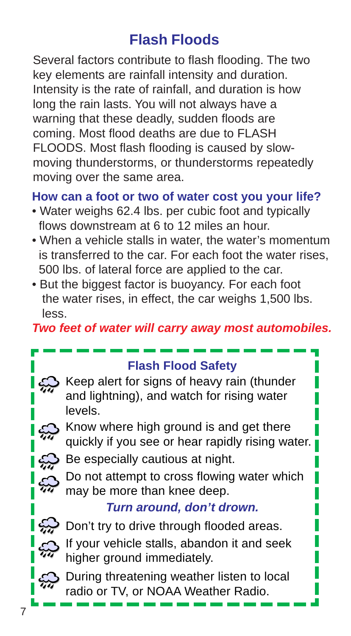# **Flash Floods**

Several factors contribute to flash flooding. The two key elements are rainfall intensity and duration. Intensity is the rate of rainfall, and duration is how long the rain lasts. You will not always have a warning that these deadly, sudden floods are coming. Most flood deaths are due to FLASH FLOODS. Most flash flooding is caused by slowmoving thunderstorms, or thunderstorms repeatedly moving over the same area.

## **How can a foot or two of water cost you your life?**

- Water weighs 62.4 lbs. per cubic foot and typically flows downstream at 6 to 12 miles an hour.
- When a vehicle stalls in water, the water's momentum is transferred to the car. For each foot the water rises, 500 lbs. of lateral force are applied to the car.
- But the biggest factor is buoyancy. For each foot the water rises, in effect, the car weighs 1,500 lbs. less.

*Two feet of water will carry away most automobiles.*

## **Flash Flood Safety**

Keep alert for signs of heavy rain (thunder and lightning), and watch for rising water levels.

S Know where high ground is and get there quickly if you see or hear rapidly rising water.

 $\mathcal{L}$  Be especially cautious at night.

Do not attempt to cross flowing water which may be more than knee deep.

## *Turn around, don't drown.*

 $\mathbb{R}$  Don't try to drive through flooded areas. If your vehicle stalls, abandon it and seek higher ground immediately.



During threatening weather listen to local radio or TV, or NOAA Weather Radio.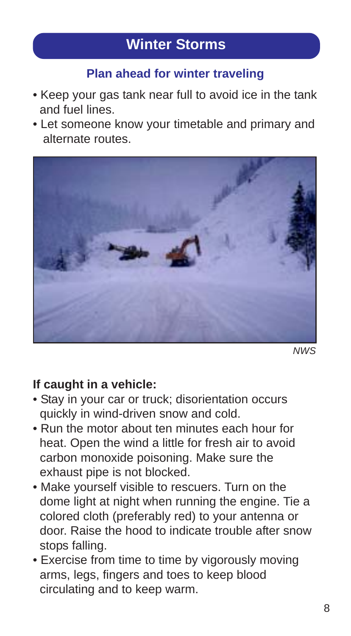# **Winter Storms**

## **Plan ahead for winter traveling**

- Keep your gas tank near full to avoid ice in the tank and fuel lines.
- Let someone know your timetable and primary and alternate routes.



*NWS*

#### **If caught in a vehicle:**

- Stay in your car or truck; disorientation occurs quickly in wind-driven snow and cold.
- Run the motor about ten minutes each hour for heat. Open the wind a little for fresh air to avoid carbon monoxide poisoning. Make sure the exhaust pipe is not blocked.
- Make yourself visible to rescuers. Turn on the dome light at night when running the engine. Tie a colored cloth (preferably red) to your antenna or door. Raise the hood to indicate trouble after snow stops falling.
- Exercise from time to time by vigorously moving arms, legs, fingers and toes to keep blood circulating and to keep warm.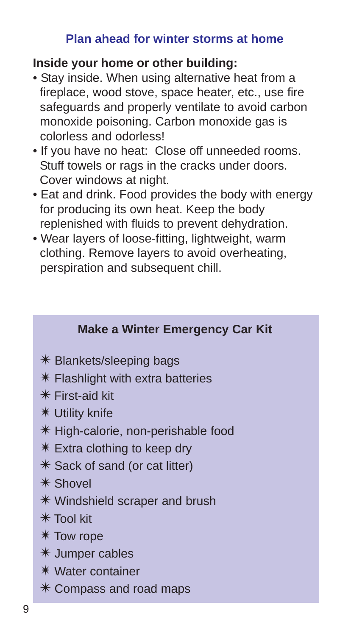## **Plan ahead for winter storms at home**

## **Inside your home or other building:**

- Stay inside. When using alternative heat from a fireplace, wood stove, space heater, etc., use fire safeguards and properly ventilate to avoid carbon monoxide poisoning. Carbon monoxide gas is colorless and odorless!
- If you have no heat: Close off unneeded rooms. Stuff towels or rags in the cracks under doors. Cover windows at night.
- Eat and drink. Food provides the body with energy for producing its own heat. Keep the body replenished with fluids to prevent dehydration.
- Wear layers of loose-fitting, lightweight, warm clothing. Remove layers to avoid overheating, perspiration and subsequent chill.

## **Make a Winter Emergency Car Kit**

- ✴ Blankets/sleeping bags
- $*$  Flashlight with extra batteries
- ✴ First-aid kit
- ✴ Utility knife
- ✴ High-calorie, non-perishable food
- ✴ Extra clothing to keep dry
- ✴ Sack of sand (or cat litter)
- ✴ Shovel
- ✴ Windshield scraper and brush
- ✴ Tool kit
- ✴ Tow rope
- ✴ Jumper cables
- ✴ Water container
- ✴ Compass and road maps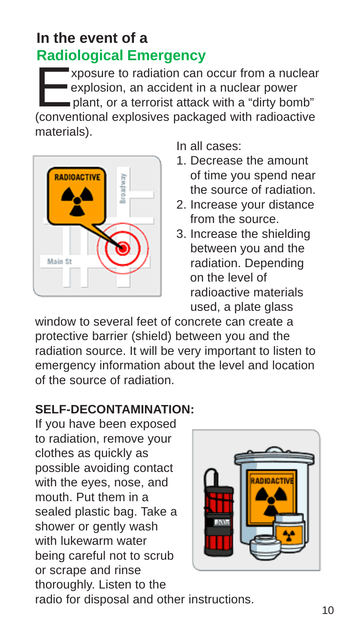# **In the event of a Radiological Emergency**

xposure to radiation can occur from a nuclear<br>
explosion, an accident in a nuclear power<br>
plant, or a terrorist attack with a "dirty bomb"<br>
(conventional explosives packaged with radiagetive) explosion, an accident in a nuclear power (conventional explosives packaged with radioactive materials).



In all cases:

- 1. Decrease the amount of time you spend near the source of radiation.
- 2. Increase your distance from the source.
- 3. Increase the shielding between you and the radiation. Depending on the level of radioactive materials used, a plate glass

window to several feet of concrete can create a protective barrier (shield) between you and the radiation source. It will be very important to listen to emergency information about the level and location of the source of radiation.

## **SELF-DECONTAMINATION:**

If you have been exposed to radiation, remove your clothes as quickly as possible avoiding contact with the eyes, nose, and mouth. Put them in a sealed plastic bag. Take a shower or gently wash with lukewarm water being careful not to scrub or scrape and rinse thoroughly. Listen to the



radio for disposal and other instructions.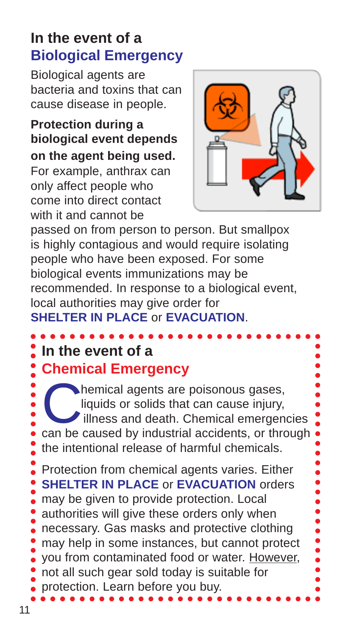## **In the event of a Biological Emergency**

Biological agents are bacteria and toxins that can cause disease in people.

**Protection during a biological event depends on the agent being used.**

For example, anthrax can only affect people who come into direct contact with it and cannot be



passed on from person to person. But smallpox is highly contagious and would require isolating people who have been exposed. For some biological events immunizations may be recommended. In response to a biological event, local authorities may give order for **SHELTER IN PLACE** or **EVACUATION**.

# In the event of a

## **Chemical Emergency**

hemical agents are poisonous gases, liquids or solids that can cause injury, illness and death. Chemical emergencies can be caused by industrial accidents, or through the intentional release of harmful chemicals. Protection from chemical agents varies. Either **SHELTER IN PLACE** or **EVACUATION** orders may be given to provide protection. Local authorities will give these orders only when necessary. Gas masks and protective clothing may help in some instances, but cannot protect you from contaminated food or water. However, not all such gear sold today is suitable for protection. Learn before you buy.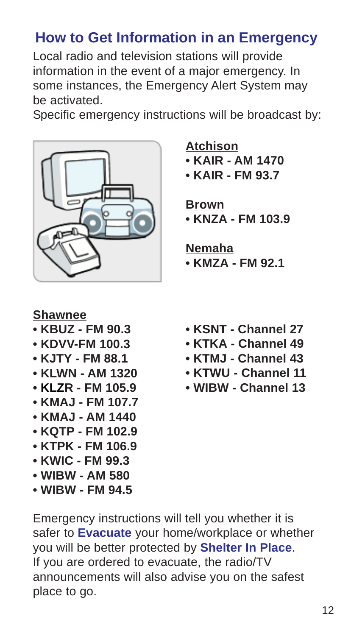## **How to Get Information in an Emergency**

Local radio and television stations will provide information in the event of a major emergency. In some instances, the Emergency Alert System may be activated.

Specific emergency instructions will be broadcast by:



**Atchison • KAIR - AM 1470**

**• KAIR - FM 93.7**

## **Brown**

**• KNZA - FM 103.9**

**Nemaha**

**• KMZA - FM 92.1**

## **Shawnee**

- **KBUZ FM 90.3**
- **KDVV-FM 100.3**
- **KJTY FM 88.1**
- **KLWN AM 1320**
- **KLZR FM 105.9**
- **KMAJ FM 107.7**
- **KMAJ AM 1440**
- **KQTP FM 102.9**
- **KTPK FM 106.9**
- **KWIC FM 99.3**
- **WIBW AM 580**
- **WIBW FM 94.5**
- **KSNT Channel 27**
- **KTKA Channel 49**
- **KTMJ Channel 43**
- **KTWU Channel 11**
- **WIBW Channel 13**

Emergency instructions will tell you whether it is safer to **Evacuate** your home/workplace or whether you will be better protected by **Shelter In Place**. If you are ordered to evacuate, the radio/TV announcements will also advise you on the safest place to go.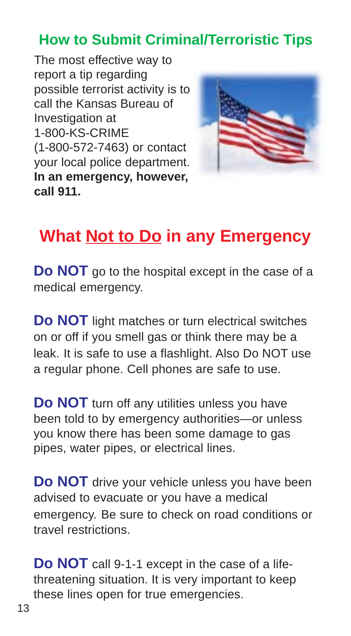# **How to Submit Criminal/Terroristic Tips**

The most effective way to report a tip regarding possible terrorist activity is to call the Kansas Bureau of Investigation at 1-800-KS-CRIME (1-800-572-7463) or contact your local police department. **In an emergency, however, call 911.**



# **What Not to Do in any Emergency**

**Do NOT** go to the hospital except in the case of a medical emergency.

**Do NOT** light matches or turn electrical switches on or off if you smell gas or think there may be a leak. It is safe to use a flashlight. Also Do NOT use a regular phone. Cell phones are safe to use.

**Do NOT** turn off any utilities unless you have been told to by emergency authorities—or unless you know there has been some damage to gas pipes, water pipes, or electrical lines.

**Do NOT** drive your vehicle unless you have been advised to evacuate or you have a medical emergency. Be sure to check on road conditions or travel restrictions.

**Do NOT** call 9-1-1 except in the case of a lifethreatening situation. It is very important to keep these lines open for true emergencies.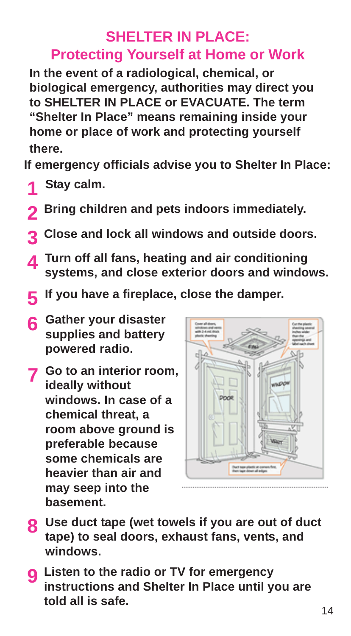## **SHELTER IN PLACE: Protecting Yourself at Home or Work**

**In the event of a radiological, chemical, or biological emergency, authorities may direct you to SHELTER IN PLACE or EVACUATE. The term "Shelter In Place" means remaining inside your home or place of work and protecting yourself there.**

**If emergency officials advise you to Shelter In Place:**

- **Stay calm. 1**
- **2** Bring children and pets indoors immediately.
- **Close and lock all windows and outside doors. 3**
- **Turn off all fans, heating and air conditioning systems, and close exterior doors and windows. 4**
- **If you have a fireplace, close the damper. 5**
- **Gather your disaster 6 supplies and battery powered radio.**
- **Go to an interior room, 7 ideally without windows. In case of a chemical threat, a room above ground is preferable because some chemicals are heavier than air and may seep into the basement.**



- **Use duct tape (wet towels if you are out of duct 8 tape) to seal doors, exhaust fans, vents, and windows.**
- **Listen to the radio or TV for emergency 9 instructions and Shelter In Place until you are told all is safe.**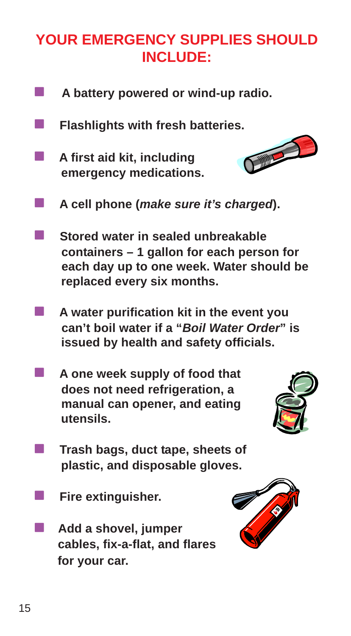# **YOUR EMERGENCY SUPPLIES SHOULD INCLUDE:**

- **A battery powered or wind-up radio.**
- **E** Flashlights with fresh batteries.
- ! **A first aid kit, including emergency medications.**



- ! **A cell phone (***make sure it's charged***).**
- **E.** Stored water in sealed unbreakable  **containers – 1 gallon for each person for each day up to one week. Water should be replaced every six months.**
- ! **A water purification kit in the event you can't boil water if a "***Boil Water Order***" is issued by health and safety officials.**
- **A one week supply of food that does not need refrigeration, a manual can opener, and eating utensils.**



- **The Trash bags, duct tape, sheets of plastic, and disposable gloves.**
- ! **Fire extinguisher.**
- ! **Add a shovel, jumper cables, fix-a-flat, and flares for your car.**

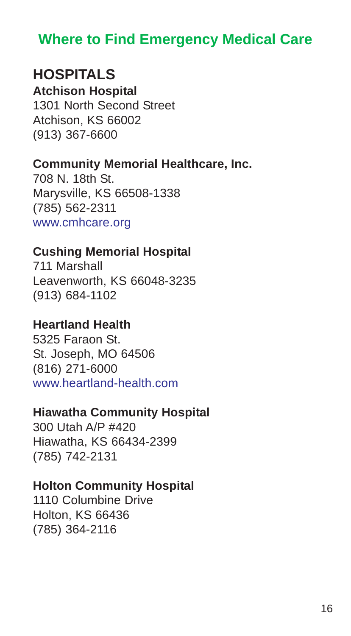## **Where to Find Emergency Medical Care**

## **HOSPITALS**

**Atchison Hospital** 1301 North Second Street Atchison, KS 66002 (913) 367-6600

#### **Community Memorial Healthcare, Inc.**

708 N. 18th St. Marysville, KS 66508-1338 (785) 562-2311 www.cmhcare.org

## **Cushing Memorial Hospital**

711 Marshall Leavenworth, KS 66048-3235 (913) 684-1102

## **Heartland Health**

5325 Faraon St. St. Joseph, MO 64506 (816) 271-6000 www.heartland-health.com

#### **Hiawatha Community Hospital**

300 Utah A/P #420 Hiawatha, KS 66434-2399 (785) 742-2131

#### **Holton Community Hospital**

1110 Columbine Drive Holton, KS 66436 (785) 364-2116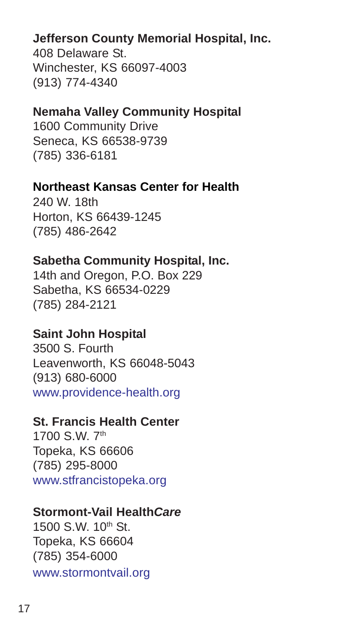## **Jefferson County Memorial Hospital, Inc.**

408 Delaware St. Winchester, KS 66097-4003 (913) 774-4340

## **Nemaha Valley Community Hospital**

1600 Community Drive Seneca, KS 66538-9739 (785) 336-6181

## **Northeast Kansas Center for Health**

240 W. 18th Horton, KS 66439-1245 (785) 486-2642

## **Sabetha Community Hospital, Inc.**

14th and Oregon, P.O. Box 229 Sabetha, KS 66534-0229 (785) 284-2121

## **Saint John Hospital**

3500 S. Fourth Leavenworth, KS 66048-5043 (913) 680-6000 www.providence-health.org

## **St. Francis Health Center**

1700 S.W. 7th Topeka, KS 66606 (785) 295-8000 www.stfrancistopeka.org

#### **Stormont-Vail Health***Care*

1500 S.W. 10th St. Topeka, KS 66604 (785) 354-6000 www.stormontvail.org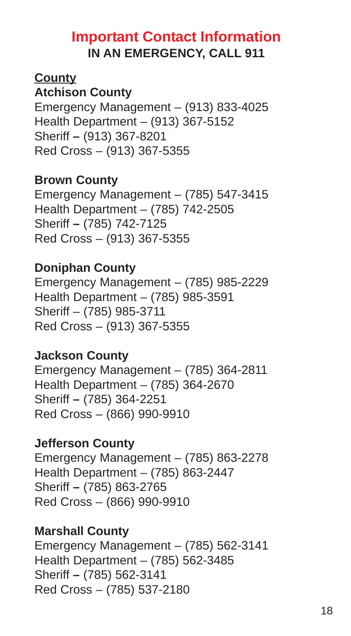## **Important Contact Information IN AN EMERGENCY, CALL 911**

## **County**

## **Atchison County**

Emergency Management – (913) 833-4025 Health Department – (913) 367-5152 Sheriff **–** (913) 367-8201 Red Cross – (913) 367-5355

## **Brown County**

Emergency Management – (785) 547-3415 Health Department – (785) 742-2505 Sheriff **–** (785) 742-7125 Red Cross – (913) 367-5355

## **Doniphan County**

Emergency Management – (785) 985-2229 Health Department – (785) 985-3591 Sheriff – (785) 985-3711 Red Cross – (913) 367-5355

## **Jackson County**

Emergency Management – (785) 364-2811 Health Department – (785) 364-2670 Sheriff **–** (785) 364-2251 Red Cross – (866) 990-9910

## **Jefferson County**

Emergency Management – (785) 863-2278 Health Department – (785) 863-2447 Sheriff **–** (785) 863-2765 Red Cross – (866) 990-9910

## **Marshall County**

Emergency Management – (785) 562-3141 Health Department – (785) 562-3485 Sheriff **–** (785) 562-3141 Red Cross – (785) 537-2180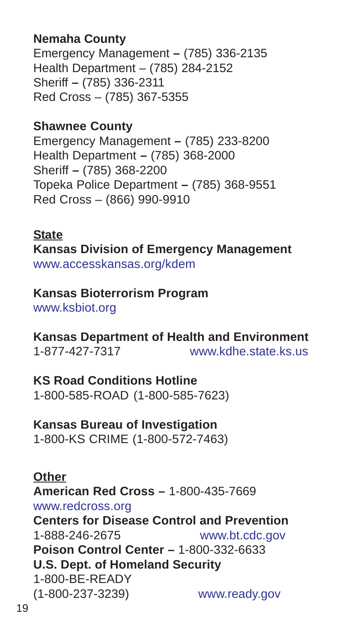## **Nemaha County**

Emergency Management **–** (785) 336-2135 Health Department – (785) 284-2152 Sheriff **–** (785) 336-2311 Red Cross – (785) 367-5355

## **Shawnee County**

Emergency Management **–** (785) 233-8200 Health Department **–** (785) 368-2000 Sheriff **–** (785) 368-2200 Topeka Police Department **–** (785) 368-9551 Red Cross – (866) 990-9910

**State Kansas Division of Emergency Management** www.accesskansas.org/kdem

# **Kansas Bioterrorism Program**

www.ksbiot.org

**Kansas Department of Health and Environment** 1-877-427-7317 www.kdhe.state.ks.us

**KS Road Conditions Hotline** 1-800-585-ROAD (1-800-585-7623)

**Kansas Bureau of Investigation** 1-800-KS CRIME (1-800-572-7463)

**Other American Red Cross –** 1-800-435-7669 www.redcross.org **Centers for Disease Control and Prevention** 1-888-246-2675 www.bt.cdc.gov **Poison Control Center –** 1-800-332-6633 **U.S. Dept. of Homeland Security** 1-800-BE-READY (1-800-237-3239) www.ready.gov